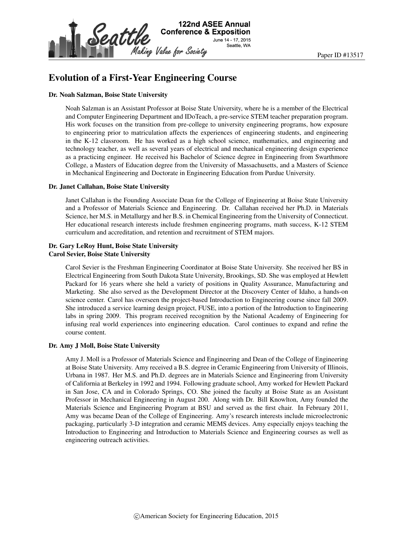

# Evolution of a First-Year Engineering Course

#### Dr. Noah Salzman, Boise State University

Noah Salzman is an Assistant Professor at Boise State University, where he is a member of the Electrical and Computer Engineering Department and IDoTeach, a pre-service STEM teacher preparation program. His work focuses on the transition from pre-college to university engineering programs, how exposure to engineering prior to matriculation affects the experiences of engineering students, and engineering in the K-12 classroom. He has worked as a high school science, mathematics, and engineering and technology teacher, as well as several years of electrical and mechanical engineering design experience as a practicing engineer. He received his Bachelor of Science degree in Engineering from Swarthmore College, a Masters of Education degree from the University of Massachusetts, and a Masters of Science in Mechanical Engineering and Doctorate in Engineering Education from Purdue University.

#### Dr. Janet Callahan, Boise State University

Janet Callahan is the Founding Associate Dean for the College of Engineering at Boise State University and a Professor of Materials Science and Engineering. Dr. Callahan received her Ph.D. in Materials Science, her M.S. in Metallurgy and her B.S. in Chemical Engineering from the University of Connecticut. Her educational research interests include freshmen engineering programs, math success, K-12 STEM curriculum and accreditation, and retention and recruitment of STEM majors.

# Dr. Gary LeRoy Hunt, Boise State University

Carol Sevier, Boise State University

Carol Sevier is the Freshman Engineering Coordinator at Boise State University. She received her BS in Electrical Engineering from South Dakota State University, Brookings, SD. She was employed at Hewlett Packard for 16 years where she held a variety of positions in Quality Assurance, Manufacturing and Marketing. She also served as the Development Director at the Discovery Center of Idaho, a hands-on science center. Carol has overseen the project-based Introduction to Engineering course since fall 2009. She introduced a service learning design project, FUSE, into a portion of the Introduction to Engineering labs in spring 2009. This program received recognition by the National Academy of Engineering for infusing real world experiences into engineering education. Carol continues to expand and refine the course content.

#### Dr. Amy J Moll, Boise State University

Amy J. Moll is a Professor of Materials Science and Engineering and Dean of the College of Engineering at Boise State University. Amy received a B.S. degree in Ceramic Engineering from University of Illinois, Urbana in 1987. Her M.S. and Ph.D. degrees are in Materials Science and Engineering from University of California at Berkeley in 1992 and 1994. Following graduate school, Amy worked for Hewlett Packard in San Jose, CA and in Colorado Springs, CO. She joined the faculty at Boise State as an Assistant Professor in Mechanical Engineering in August 200. Along with Dr. Bill Knowlton, Amy founded the Materials Science and Engineering Program at BSU and served as the first chair. In February 2011, Amy was became Dean of the College of Engineering. Amy's research interests include microelectronic packaging, particularly 3-D integration and ceramic MEMS devices. Amy especially enjoys teaching the Introduction to Engineering and Introduction to Materials Science and Engineering courses as well as engineering outreach activities.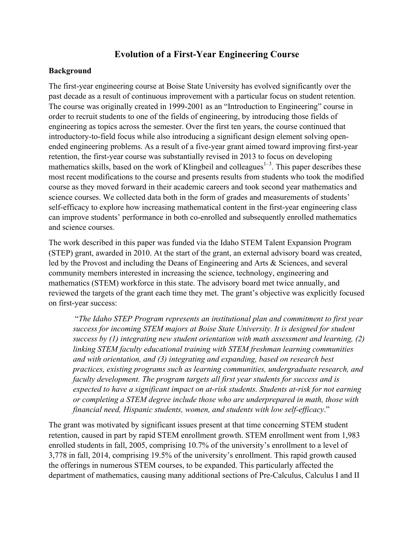# **Evolution of a First-Year Engineering Course**

#### **Background**

The first-year engineering course at Boise State University has evolved significantly over the past decade as a result of continuous improvement with a particular focus on student retention. The course was originally created in 1999-2001 as an "Introduction to Engineering" course in order to recruit students to one of the fields of engineering, by introducing those fields of engineering as topics across the semester. Over the first ten years, the course continued that introductory-to-field focus while also introducing a significant design element solving openended engineering problems. As a result of a five-year grant aimed toward improving first-year retention, the first-year course was substantially revised in 2013 to focus on developing mathematics skills, based on the work of Klingbeil and colleagues<sup> $1-3$ </sup>. This paper describes these most recent modifications to the course and presents results from students who took the modified course as they moved forward in their academic careers and took second year mathematics and science courses. We collected data both in the form of grades and measurements of students' self-efficacy to explore how increasing mathematical content in the first-year engineering class can improve students' performance in both co-enrolled and subsequently enrolled mathematics and science courses.

The work described in this paper was funded via the Idaho STEM Talent Expansion Program (STEP) grant, awarded in 2010. At the start of the grant, an external advisory board was created, led by the Provost and including the Deans of Engineering and Arts & Sciences, and several community members interested in increasing the science, technology, engineering and mathematics (STEM) workforce in this state. The advisory board met twice annually, and reviewed the targets of the grant each time they met. The grant's objective was explicitly focused on first-year success:

"*The Idaho STEP Program represents an institutional plan and commitment to first year success for incoming STEM majors at Boise State University. It is designed for student success by (1) integrating new student orientation with math assessment and learning, (2) linking STEM faculty educational training with STEM freshman learning communities and with orientation, and (3) integrating and expanding, based on research best practices, existing programs such as learning communities, undergraduate research, and faculty development. The program targets all first year students for success and is expected to have a significant impact on at-risk students. Students at-risk for not earning or completing a STEM degree include those who are underprepared in math, those with financial need, Hispanic students, women, and students with low self-efficacy*."

The grant was motivated by significant issues present at that time concerning STEM student retention, caused in part by rapid STEM enrollment growth. STEM enrollment went from 1,983 enrolled students in fall, 2005, comprising 10.7% of the university's enrollment to a level of 3,778 in fall, 2014, comprising 19.5% of the university's enrollment. This rapid growth caused the offerings in numerous STEM courses, to be expanded. This particularly affected the department of mathematics, causing many additional sections of Pre-Calculus, Calculus I and II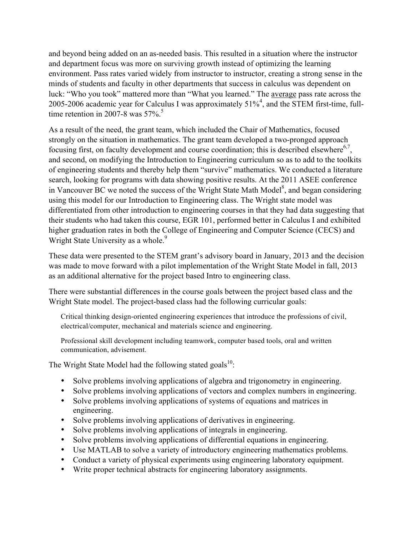and beyond being added on an as-needed basis. This resulted in a situation where the instructor and department focus was more on surviving growth instead of optimizing the learning environment. Pass rates varied widely from instructor to instructor, creating a strong sense in the minds of students and faculty in other departments that success in calculus was dependent on luck: "Who you took" mattered more than "What you learned." The average pass rate across the 2005-2006 academic year for Calculus I was approximately  $51\%$ <sup>4</sup>, and the STEM first-time, fulltime retention in 2007-8 was  $57\%$ <sup>5</sup>

As a result of the need, the grant team, which included the Chair of Mathematics, focused strongly on the situation in mathematics. The grant team developed a two-pronged approach focusing first, on faculty development and course coordination; this is described elsewhere $6,7$ , and second, on modifying the Introduction to Engineering curriculum so as to add to the toolkits of engineering students and thereby help them "survive" mathematics. We conducted a literature search, looking for programs with data showing positive results. At the 2011 ASEE conference in Vancouver BC we noted the success of the Wright State Math Model $^8$ , and began considering using this model for our Introduction to Engineering class. The Wright state model was differentiated from other introduction to engineering courses in that they had data suggesting that their students who had taken this course, EGR 101, performed better in Calculus I and exhibited higher graduation rates in both the College of Engineering and Computer Science (CECS) and Wright State University as a whole.<sup>9</sup>

These data were presented to the STEM grant's advisory board in January, 2013 and the decision was made to move forward with a pilot implementation of the Wright State Model in fall, 2013 as an additional alternative for the project based Intro to engineering class.

There were substantial differences in the course goals between the project based class and the Wright State model. The project-based class had the following curricular goals:

Critical thinking design-oriented engineering experiences that introduce the professions of civil, electrical/computer, mechanical and materials science and engineering.

Professional skill development including teamwork, computer based tools, oral and written communication, advisement.

The Wright State Model had the following stated goals<sup>10</sup>:

- Solve problems involving applications of algebra and trigonometry in engineering.
- Solve problems involving applications of vectors and complex numbers in engineering.
- Solve problems involving applications of systems of equations and matrices in engineering.
- Solve problems involving applications of derivatives in engineering.
- Solve problems involving applications of integrals in engineering.
- Solve problems involving applications of differential equations in engineering.
- Use MATLAB to solve a variety of introductory engineering mathematics problems.
- Conduct a variety of physical experiments using engineering laboratory equipment.
- Write proper technical abstracts for engineering laboratory assignments.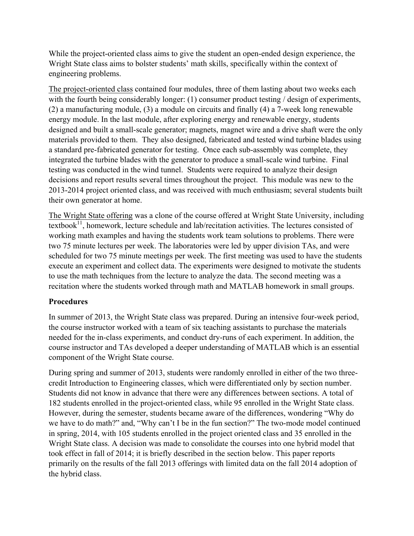While the project-oriented class aims to give the student an open-ended design experience, the Wright State class aims to bolster students' math skills, specifically within the context of engineering problems.

The project-oriented class contained four modules, three of them lasting about two weeks each with the fourth being considerably longer: (1) consumer product testing / design of experiments, (2) a manufacturing module, (3) a module on circuits and finally (4) a 7-week long renewable energy module. In the last module, after exploring energy and renewable energy, students designed and built a small-scale generator; magnets, magnet wire and a drive shaft were the only materials provided to them. They also designed, fabricated and tested wind turbine blades using a standard pre-fabricated generator for testing. Once each sub-assembly was complete, they integrated the turbine blades with the generator to produce a small-scale wind turbine. Final testing was conducted in the wind tunnel. Students were required to analyze their design decisions and report results several times throughout the project. This module was new to the 2013-2014 project oriented class, and was received with much enthusiasm; several students built their own generator at home.

The Wright State offering was a clone of the course offered at Wright State University, including textbook $^{11}$ , homework, lecture schedule and lab/recitation activities. The lectures consisted of working math examples and having the students work team solutions to problems. There were two 75 minute lectures per week. The laboratories were led by upper division TAs, and were scheduled for two 75 minute meetings per week. The first meeting was used to have the students execute an experiment and collect data. The experiments were designed to motivate the students to use the math techniques from the lecture to analyze the data. The second meeting was a recitation where the students worked through math and MATLAB homework in small groups.

# **Procedures**

In summer of 2013, the Wright State class was prepared. During an intensive four-week period, the course instructor worked with a team of six teaching assistants to purchase the materials needed for the in-class experiments, and conduct dry-runs of each experiment. In addition, the course instructor and TAs developed a deeper understanding of MATLAB which is an essential component of the Wright State course.

During spring and summer of 2013, students were randomly enrolled in either of the two threecredit Introduction to Engineering classes, which were differentiated only by section number. Students did not know in advance that there were any differences between sections. A total of 182 students enrolled in the project-oriented class, while 95 enrolled in the Wright State class. However, during the semester, students became aware of the differences, wondering "Why do we have to do math?" and, "Why can't I be in the fun section?" The two-mode model continued in spring, 2014, with 105 students enrolled in the project oriented class and 35 enrolled in the Wright State class. A decision was made to consolidate the courses into one hybrid model that took effect in fall of 2014; it is briefly described in the section below. This paper reports primarily on the results of the fall 2013 offerings with limited data on the fall 2014 adoption of the hybrid class.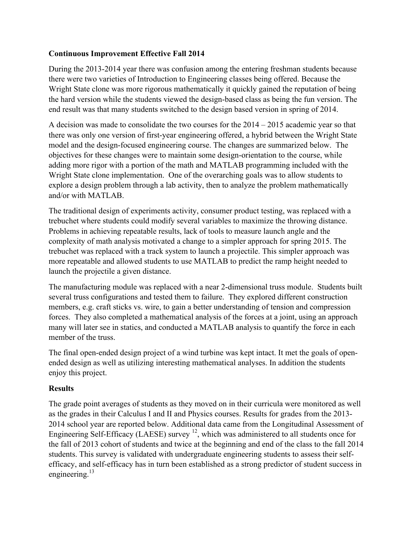## **Continuous Improvement Effective Fall 2014**

During the 2013-2014 year there was confusion among the entering freshman students because there were two varieties of Introduction to Engineering classes being offered. Because the Wright State clone was more rigorous mathematically it quickly gained the reputation of being the hard version while the students viewed the design-based class as being the fun version. The end result was that many students switched to the design based version in spring of 2014.

A decision was made to consolidate the two courses for the  $2014 - 2015$  academic year so that there was only one version of first-year engineering offered, a hybrid between the Wright State model and the design-focused engineering course. The changes are summarized below. The objectives for these changes were to maintain some design-orientation to the course, while adding more rigor with a portion of the math and MATLAB programming included with the Wright State clone implementation. One of the overarching goals was to allow students to explore a design problem through a lab activity, then to analyze the problem mathematically and/or with MATLAB.

The traditional design of experiments activity, consumer product testing, was replaced with a trebuchet where students could modify several variables to maximize the throwing distance. Problems in achieving repeatable results, lack of tools to measure launch angle and the complexity of math analysis motivated a change to a simpler approach for spring 2015. The trebuchet was replaced with a track system to launch a projectile. This simpler approach was more repeatable and allowed students to use MATLAB to predict the ramp height needed to launch the projectile a given distance.

The manufacturing module was replaced with a near 2-dimensional truss module. Students built several truss configurations and tested them to failure. They explored different construction members, e.g. craft sticks vs. wire, to gain a better understanding of tension and compression forces. They also completed a mathematical analysis of the forces at a joint, using an approach many will later see in statics, and conducted a MATLAB analysis to quantify the force in each member of the truss.

The final open-ended design project of a wind turbine was kept intact. It met the goals of openended design as well as utilizing interesting mathematical analyses. In addition the students enjoy this project.

### **Results**

The grade point averages of students as they moved on in their curricula were monitored as well as the grades in their Calculus I and II and Physics courses. Results for grades from the 2013- 2014 school year are reported below. Additional data came from the Longitudinal Assessment of Engineering Self-Efficacy (LAESE) survey  $^{12}$ , which was administered to all students once for the fall of 2013 cohort of students and twice at the beginning and end of the class to the fall 2014 students. This survey is validated with undergraduate engineering students to assess their selfefficacy, and self-efficacy has in turn been established as a strong predictor of student success in engineering.<sup>13</sup>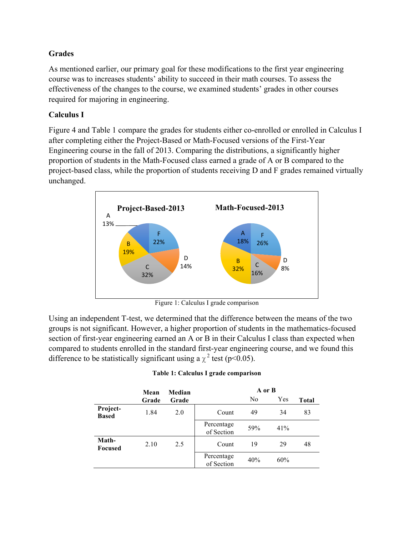### **Grades**

As mentioned earlier, our primary goal for these modifications to the first year engineering course was to increases students' ability to succeed in their math courses. To assess the effectiveness of the changes to the course, we examined students' grades in other courses required for majoring in engineering.

## **Calculus I**

Figure 4 and Table 1 compare the grades for students either co-enrolled or enrolled in Calculus I after completing either the Project-Based or Math-Focused versions of the First-Year Engineering course in the fall of 2013. Comparing the distributions, a significantly higher proportion of students in the Math-Focused class earned a grade of A or B compared to the project-based class, while the proportion of students receiving D and F grades remained virtually unchanged.



Figure 1: Calculus I grade comparison

Using an independent T-test, we determined that the difference between the means of the two groups is not significant. However, a higher proportion of students in the mathematics-focused section of first-year engineering earned an A or B in their Calculus I class than expected when compared to students enrolled in the standard first-year engineering course, and we found this difference to be statistically significant using a  $\chi^2$  test (p<0.05).

|                          | Mean  | Median | A or B                   |     |     |              |
|--------------------------|-------|--------|--------------------------|-----|-----|--------------|
|                          | Grade | Grade  |                          | No  | Yes | <b>Total</b> |
| Project-<br><b>Based</b> | 1.84  | 2.0    | Count                    | 49  | 34  | 83           |
|                          |       |        | Percentage<br>of Section | 59% | 41% |              |
| Math-<br><b>Focused</b>  | 2.10  | 2.5    | Count                    | 19  | 29  | 48           |
|                          |       |        | Percentage<br>of Section | 40% | 60% |              |

#### **Table 1: Calculus I grade comparison**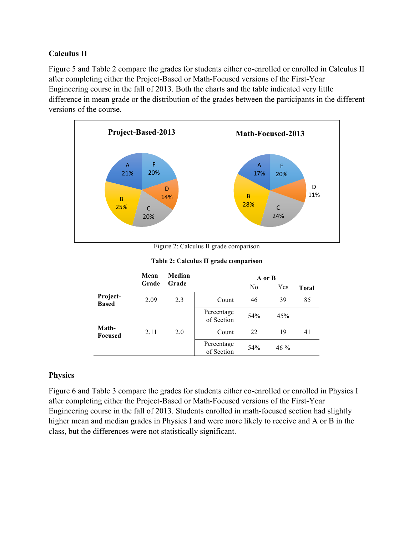## **Calculus II**

Figure 5 and Table 2 compare the grades for students either co-enrolled or enrolled in Calculus II after completing either the Project-Based or Math-Focused versions of the First-Year Engineering course in the fall of 2013. Both the charts and the table indicated very little difference in mean grade or the distribution of the grades between the participants in the different versions of the course.



Figure 2: Calculus II grade comparison

|  |  |  |  | Table 2: Calculus II grade comparison |
|--|--|--|--|---------------------------------------|
|--|--|--|--|---------------------------------------|

|                          | Mean  | Median |                          | A or B         |        |              |
|--------------------------|-------|--------|--------------------------|----------------|--------|--------------|
|                          | Grade | Grade  |                          | N <sub>0</sub> | Yes    | <b>Total</b> |
| Project-<br><b>Based</b> | 2.09  | 2.3    | Count                    | 46             | 39     | 85           |
|                          |       |        | Percentage<br>of Section | 54%            | 45%    |              |
| Math-<br><b>Focused</b>  | 2.11  | 2.0    | Count                    | 22             | 19     | 41           |
|                          |       |        | Percentage<br>of Section | 54%            | $46\%$ |              |

### **Physics**

Figure 6 and Table 3 compare the grades for students either co-enrolled or enrolled in Physics I after completing either the Project-Based or Math-Focused versions of the First-Year Engineering course in the fall of 2013. Students enrolled in math-focused section had slightly higher mean and median grades in Physics I and were more likely to receive and A or B in the class, but the differences were not statistically significant.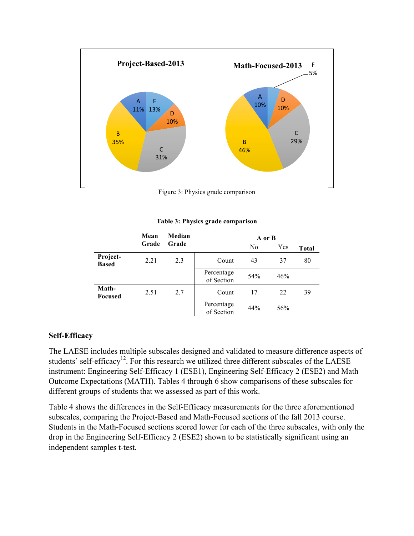

Figure 3: Physics grade comparison

#### **Table 3: Physics grade comparison**

|                          | Mean  | Median |                          | A or B         |     |              |
|--------------------------|-------|--------|--------------------------|----------------|-----|--------------|
|                          | Grade | Grade  |                          | N <sub>0</sub> | Yes | <b>Total</b> |
| Project-<br><b>Based</b> | 2.21  | 2.3    | Count                    | 43             | 37  | 80           |
|                          |       |        | Percentage<br>of Section | 54%            | 46% |              |
| Math-<br><b>Focused</b>  | 2.51  | 2.7    | Count                    | 17             | 22  | 39           |
|                          |       |        | Percentage<br>of Section | 44%            | 56% |              |

#### **Self-Efficacy**

The LAESE includes multiple subscales designed and validated to measure difference aspects of students' self-efficacy<sup>12</sup>. For this research we utilized three different subscales of the LAESE instrument: Engineering Self-Efficacy 1 (ESE1), Engineering Self-Efficacy 2 (ESE2) and Math Outcome Expectations (MATH). Tables 4 through 6 show comparisons of these subscales for different groups of students that we assessed as part of this work.

Table 4 shows the differences in the Self-Efficacy measurements for the three aforementioned subscales, comparing the Project-Based and Math-Focused sections of the fall 2013 course. Students in the Math-Focused sections scored lower for each of the three subscales, with only the drop in the Engineering Self-Efficacy 2 (ESE2) shown to be statistically significant using an independent samples t-test.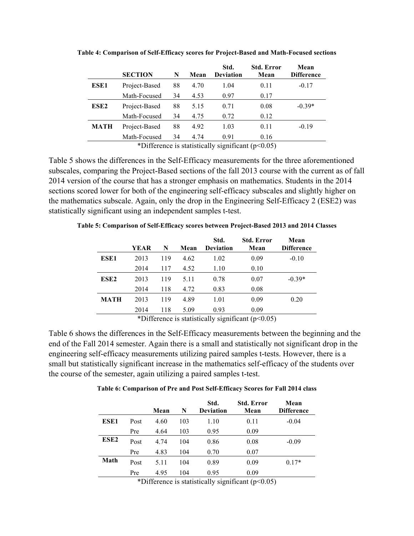|                  | <b>SECTION</b> | N  | Mean | Std.<br><b>Deviation</b> | <b>Std. Error</b><br>Mean | Mean<br><b>Difference</b> |
|------------------|----------------|----|------|--------------------------|---------------------------|---------------------------|
| ESE1             | Project-Based  | 88 | 4.70 | 1.04                     | 0.11                      | $-0.17$                   |
|                  | Math-Focused   | 34 | 4.53 | 0.97                     | 0.17                      |                           |
| ESE <sub>2</sub> | Project-Based  | 88 | 5.15 | 0.71                     | 0.08                      | $-0.39*$                  |
|                  | Math-Focused   | 34 | 4.75 | 0.72                     | 0.12                      |                           |
| MATH             | Project-Based  | 88 | 4.92 | 1.03                     | 0.11                      | $-0.19$                   |
|                  | Math-Focused   | 34 | 4.74 | 0.91                     | 0.16                      |                           |

**Table 4: Comparison of Self-Efficacy scores for Project-Based and Math-Focused sections**

\*Difference is statistically significant  $(p<0.05)$ 

Table 5 shows the differences in the Self-Efficacy measurements for the three aforementioned subscales, comparing the Project-Based sections of the fall 2013 course with the current as of fall 2014 version of the course that has a stronger emphasis on mathematics. Students in the 2014 sections scored lower for both of the engineering self-efficacy subscales and slightly higher on the mathematics subscale. Again, only the drop in the Engineering Self-Efficacy 2 (ESE2) was statistically significant using an independent samples t-test.

|      | <b>YEAR</b> | N   | Mean | Std.<br><b>Deviation</b> | <b>Std. Error</b><br>Mean | Mean<br><b>Difference</b> |
|------|-------------|-----|------|--------------------------|---------------------------|---------------------------|
| ESE1 | 2013        | 119 | 4.62 | 1.02                     | 0.09                      | $-0.10$                   |
|      | 2014        | 117 | 4.52 | 1.10                     | 0.10                      |                           |
| ESE2 | 2013        | 119 | 5.11 | 0.78                     | 0.07                      | $-0.39*$                  |
|      | 2014        | 118 | 4.72 | 0.83                     | 0.08                      |                           |
| MATH | 2013        | 119 | 4.89 | 1.01                     | 0.09                      | 0.20                      |
|      | 2014        | 118 | 5.09 | 0.93                     | 0.09                      |                           |

**Table 5: Comparison of Self-Efficacy scores between Project-Based 2013 and 2014 Classes**

\*Difference is statistically significant  $(p<0.05)$ 

Table 6 shows the differences in the Self-Efficacy measurements between the beginning and the end of the Fall 2014 semester. Again there is a small and statistically not significant drop in the engineering self-efficacy measurements utilizing paired samples t-tests. However, there is a small but statistically significant increase in the mathematics self-efficacy of the students over the course of the semester, again utilizing a paired samples t-test.

**Table 6: Comparison of Pre and Post Self-Efficacy Scores for Fall 2014 class**

|                  |      | Mean | N   | Std.<br><b>Deviation</b> | <b>Std. Error</b><br>Mean | Mean<br><b>Difference</b> |
|------------------|------|------|-----|--------------------------|---------------------------|---------------------------|
| ESE1             | Post | 4.60 | 103 | 1.10                     | 0.11                      | $-0.04$                   |
|                  | Pre  | 4.64 | 103 | 0.95                     | 0.09                      |                           |
| ESE <sub>2</sub> | Post | 4.74 | 104 | 0.86                     | 0.08                      | $-0.09$                   |
|                  | Pre  | 4.83 | 104 | 0.70                     | 0.07                      |                           |
| Math             | Post | 5.11 | 104 | 0.89                     | 0.09                      | $0.17*$                   |
|                  | Pre  | 4.95 | 104 | 0.95                     | 0.09                      |                           |

\*Difference is statistically significant  $(p<0.05)$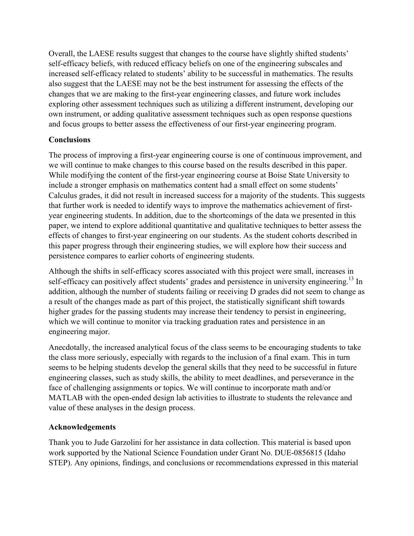Overall, the LAESE results suggest that changes to the course have slightly shifted students' self-efficacy beliefs, with reduced efficacy beliefs on one of the engineering subscales and increased self-efficacy related to students' ability to be successful in mathematics. The results also suggest that the LAESE may not be the best instrument for assessing the effects of the changes that we are making to the first-year engineering classes, and future work includes exploring other assessment techniques such as utilizing a different instrument, developing our own instrument, or adding qualitative assessment techniques such as open response questions and focus groups to better assess the effectiveness of our first-year engineering program.

# **Conclusions**

The process of improving a first-year engineering course is one of continuous improvement, and we will continue to make changes to this course based on the results described in this paper. While modifying the content of the first-year engineering course at Boise State University to include a stronger emphasis on mathematics content had a small effect on some students' Calculus grades, it did not result in increased success for a majority of the students. This suggests that further work is needed to identify ways to improve the mathematics achievement of firstyear engineering students. In addition, due to the shortcomings of the data we presented in this paper, we intend to explore additional quantitative and qualitative techniques to better assess the effects of changes to first-year engineering on our students. As the student cohorts described in this paper progress through their engineering studies, we will explore how their success and persistence compares to earlier cohorts of engineering students.

Although the shifts in self-efficacy scores associated with this project were small, increases in self-efficacy can positively affect students' grades and persistence in university engineering.<sup>13</sup> In addition, although the number of students failing or receiving D grades did not seem to change as a result of the changes made as part of this project, the statistically significant shift towards higher grades for the passing students may increase their tendency to persist in engineering, which we will continue to monitor via tracking graduation rates and persistence in an engineering major.

Anecdotally, the increased analytical focus of the class seems to be encouraging students to take the class more seriously, especially with regards to the inclusion of a final exam. This in turn seems to be helping students develop the general skills that they need to be successful in future engineering classes, such as study skills, the ability to meet deadlines, and perseverance in the face of challenging assignments or topics. We will continue to incorporate math and/or MATLAB with the open-ended design lab activities to illustrate to students the relevance and value of these analyses in the design process.

# **Acknowledgements**

Thank you to Jude Garzolini for her assistance in data collection. This material is based upon work supported by the National Science Foundation under Grant No. DUE-0856815 (Idaho STEP). Any opinions, findings, and conclusions or recommendations expressed in this material